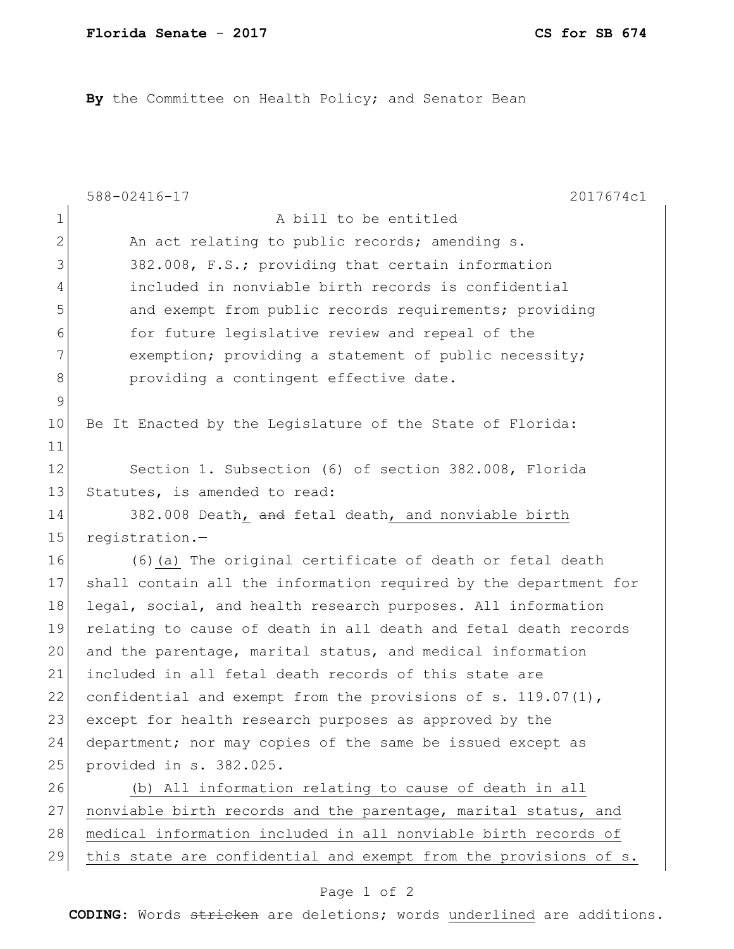By the Committee on Health Policy; and Senator Bean

|                | 588-02416-17<br>2017674c1                                        |
|----------------|------------------------------------------------------------------|
| $\mathbf 1$    | A bill to be entitled                                            |
| 2              | An act relating to public records; amending s.                   |
| 3              | 382.008, F.S.; providing that certain information                |
| $\overline{4}$ | included in nonviable birth records is confidential              |
| 5              | and exempt from public records requirements; providing           |
| 6              | for future legislative review and repeal of the                  |
| 7              | exemption; providing a statement of public necessity;            |
| 8              | providing a contingent effective date.                           |
| $\mathsf 9$    |                                                                  |
| 10             | Be It Enacted by the Legislature of the State of Florida:        |
| 11             |                                                                  |
| 12             | Section 1. Subsection (6) of section 382.008, Florida            |
| 13             | Statutes, is amended to read:                                    |
| 14             | 382.008 Death, and fetal death, and nonviable birth              |
| 15             | registration.-                                                   |
| 16             | (6) (a) The original certificate of death or fetal death         |
| 17             | shall contain all the information required by the department for |
| 18             | legal, social, and health research purposes. All information     |
| 19             | relating to cause of death in all death and fetal death records  |
| 20             | and the parentage, marital status, and medical information       |
| 21             | included in all fetal death records of this state are            |
| 22             | confidential and exempt from the provisions of s. $119.07(1)$ ,  |
| 23             | except for health research purposes as approved by the           |
| 24             | department; nor may copies of the same be issued except as       |
| 25             | provided in s. 382.025.                                          |
| 26             | (b) All information relating to cause of death in all            |
| 27             | nonviable birth records and the parentage, marital status, and   |
| 28             | medical information included in all nonviable birth records of   |
| 29             | this state are confidential and exempt from the provisions of s. |

## Page 1 of 2

**CODING**: Words stricken are deletions; words underlined are additions.